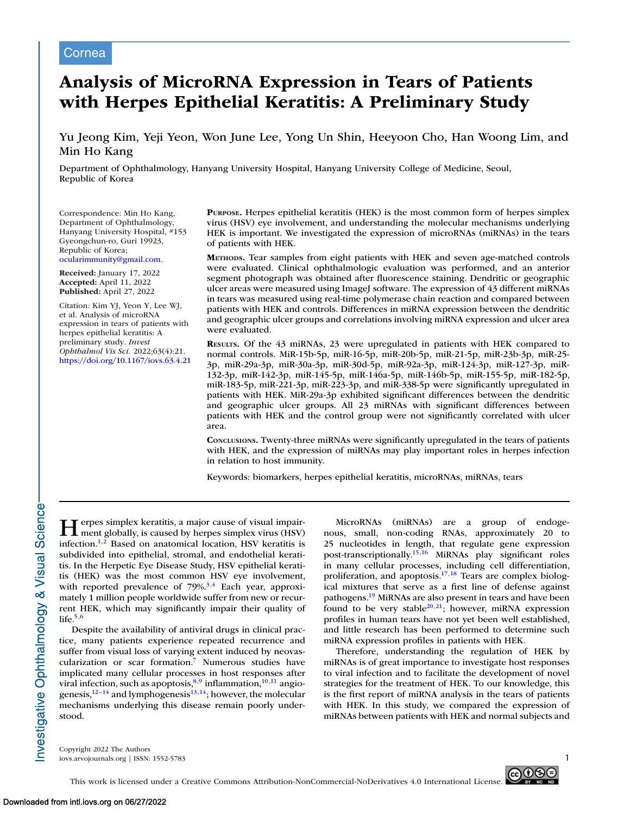# Cornea

# **Analysis of MicroRNA Expression in Tears of Patients with Herpes Epithelial Keratitis: A Preliminary Study**

# Yu Jeong Kim, Yeji Yeon, Won June Lee, Yong Un Shin, Heeyoon Cho, Han Woong Lim, and Min Ho Kang

Department of Ophthalmology, Hanyang University Hospital, Hanyang University College of Medicine, Seoul, Republic of Korea

Correspondence: Min Ho Kang, Department of Ophthalmology, Hanyang University Hospital, #153 Gyeongchun-ro, Guri 19923, Republic of Korea; [ocularimmunity@gmail.com.](mailto:ocularimmunity@gmail.com.)

**Received:** January 17, 2022 **Accepted:** April 11, 2022 **Published:** April 27, 2022

Citation: Kim YJ, Yeon Y, Lee WJ, et al. Analysis of microRNA expression in tears of patients with herpes epithelial keratitis: A preliminary study. *Invest Ophthalmol Vis Sci.* 2022;63(4):21. <https://doi.org/10.1167/iovs.63.4.21> **PURPOSE.** Herpes epithelial keratitis (HEK) is the most common form of herpes simplex virus (HSV) eye involvement, and understanding the molecular mechanisms underlying HEK is important. We investigated the expression of microRNAs (miRNAs) in the tears of patients with HEK.

**METHODS.** Tear samples from eight patients with HEK and seven age-matched controls were evaluated. Clinical ophthalmologic evaluation was performed, and an anterior segment photograph was obtained after fluorescence staining. Dendritic or geographic ulcer areas were measured using ImageJ software. The expression of 43 different miRNAs in tears was measured using real-time polymerase chain reaction and compared between patients with HEK and controls. Differences in miRNA expression between the dendritic and geographic ulcer groups and correlations involving miRNA expression and ulcer area were evaluated.

**RESULTS.** Of the 43 miRNAs, 23 were upregulated in patients with HEK compared to normal controls. MiR-15b-5p, miR-16-5p, miR-20b-5p, miR-21-5p, miR-23b-3p, miR-25- 3p, miR-29a-3p, miR-30a-3p, miR-30d-5p, miR-92a-3p, miR-124-3p, miR-127-3p, miR-132-3p, miR-142-3p, miR-145-5p, miR-146a-5p, miR-146b-5p, miR-155-5p, miR-182-5p, miR-183-5p, miR-221-3p, miR-223-3p, and miR-338-5p were significantly upregulated in patients with HEK. MiR-29a-3p exhibited significant differences between the dendritic and geographic ulcer groups. All 23 miRNAs with significant differences between patients with HEK and the control group were not significantly correlated with ulcer area.

**CONCLUSIONS.** Twenty-three miRNAs were significantly upregulated in the tears of patients with HEK, and the expression of miRNAs may play important roles in herpes infection in relation to host immunity.

Keywords: biomarkers, herpes epithelial keratitis, microRNAs, miRNAs, tears

**Herpes simplex keratitis, a major cause of visual impair-**<br>ment globally, is caused by herpes simplex virus (HSV) infection[.1,2](#page-6-0) Based on anatomical location, HSV keratitis is subdivided into epithelial, stromal, and endothelial keratitis. In the Herpetic Eye Disease Study, HSV epithelial keratitis (HEK) was the most common HSV eye involvement, with reported prevalence of  $79\%$ <sup>3,4</sup> Each year, approximately 1 million people worldwide suffer from new or recurrent HEK, which may significantly impair their quality of life. $5,6$ 

Despite the availability of antiviral drugs in clinical practice, many patients experience repeated recurrence and suffer from visual loss of varying extent induced by neovascularization or scar formation[.7](#page-6-0) Numerous studies have implicated many cellular processes in host responses after viral infection, such as apoptosis, $8,9$  inflammation, $10,11$  angiogenesis, $12-14$  and lymphogenesis $13,14$ ; however, the molecular mechanisms underlying this disease remain poorly understood.

MicroRNAs (miRNAs) are a group of endogenous, small, non-coding RNAs, approximately 20 to 25 nucleotides in length, that regulate gene expression post-transcriptionally[.15,16](#page-6-0) MiRNAs play significant roles in many cellular processes, including cell differentiation, proliferation, and apoptosis.<sup>17,18</sup> Tears are complex biological mixtures that serve as a first line of defense against pathogens[.19](#page-6-0) MiRNAs are also present in tears and have been found to be very stable<sup>20,21</sup>; however, miRNA expression profiles in human tears have not yet been well established, and little research has been performed to determine such miRNA expression profiles in patients with HEK.

Therefore, understanding the regulation of HEK by miRNAs is of great importance to investigate host responses to viral infection and to facilitate the development of novel strategies for the treatment of HEK. To our knowledge, this is the first report of miRNA analysis in the tears of patients with HEK. In this study, we compared the expression of miRNAs between patients with HEK and normal subjects and

Copyright 2022 The Authors iovs.arvojournals.org | ISSN: 1552-5783 1



Investigative Ophthalmology & Visual Science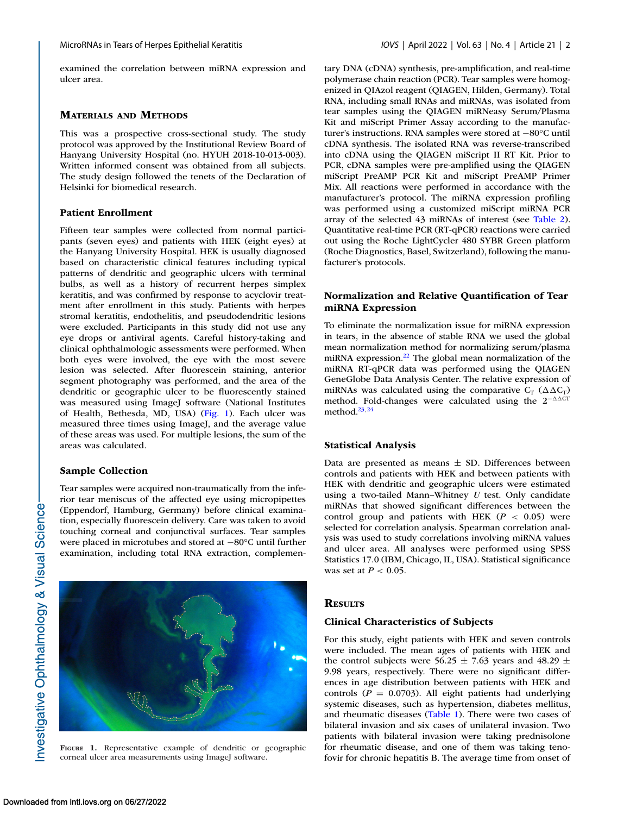examined the correlation between miRNA expression and ulcer area.

#### **MATERIALS AND METHODS**

This was a prospective cross-sectional study. The study protocol was approved by the Institutional Review Board of Hanyang University Hospital (no. HYUH 2018-10-013-003). Written informed consent was obtained from all subjects. The study design followed the tenets of the Declaration of Helsinki for biomedical research.

#### **Patient Enrollment**

Fifteen tear samples were collected from normal participants (seven eyes) and patients with HEK (eight eyes) at the Hanyang University Hospital. HEK is usually diagnosed based on characteristic clinical features including typical patterns of dendritic and geographic ulcers with terminal bulbs, as well as a history of recurrent herpes simplex keratitis, and was confirmed by response to acyclovir treatment after enrollment in this study. Patients with herpes stromal keratitis, endothelitis, and pseudodendritic lesions were excluded. Participants in this study did not use any eye drops or antiviral agents. Careful history-taking and clinical ophthalmologic assessments were performed. When both eyes were involved, the eye with the most severe lesion was selected. After fluorescein staining, anterior segment photography was performed, and the area of the dendritic or geographic ulcer to be fluorescently stained was measured using ImageJ software (National Institutes of Health, Bethesda, MD, USA) (Fig. 1). Each ulcer was measured three times using ImageJ, and the average value of these areas was used. For multiple lesions, the sum of the areas was calculated.

#### **Sample Collection**

Tear samples were acquired non-traumatically from the inferior tear meniscus of the affected eye using micropipettes (Eppendorf, Hamburg, Germany) before clinical examination, especially fluorescein delivery. Care was taken to avoid touching corneal and conjunctival surfaces. Tear samples were placed in microtubes and stored at −80°C until further examination, including total RNA extraction, complemen-



**FIGURE 1.** Representative example of dendritic or geographic corneal ulcer area measurements using ImageJ software.

tary DNA (cDNA) synthesis, pre-amplification, and real-time polymerase chain reaction (PCR). Tear samples were homogenized in QIAzol reagent (QIAGEN, Hilden, Germany). Total RNA, including small RNAs and miRNAs, was isolated from tear samples using the QIAGEN miRNeasy Serum/Plasma Kit and miScript Primer Assay according to the manufacturer's instructions. RNA samples were stored at −80°C until cDNA synthesis. The isolated RNA was reverse-transcribed into cDNA using the QIAGEN miScript II RT Kit. Prior to PCR, cDNA samples were pre-amplified using the QIAGEN miScript PreAMP PCR Kit and miScript PreAMP Primer Mix. All reactions were performed in accordance with the manufacturer's protocol. The miRNA expression profiling was performed using a customized miScript miRNA PCR array of the selected 43 miRNAs of interest (see [Table 2\)](#page-2-0). Quantitative real-time PCR (RT-qPCR) reactions were carried out using the Roche LightCycler 480 SYBR Green platform (Roche Diagnostics, Basel, Switzerland), following the manufacturer's protocols.

#### **Normalization and Relative Quantification of Tear miRNA Expression**

To eliminate the normalization issue for miRNA expression in tears, in the absence of stable RNA we used the global mean normalization method for normalizing serum/plasma miRNA expression[.22](#page-6-0) The global mean normalization of the miRNA RT-qPCR data was performed using the QIAGEN GeneGlobe Data Analysis Center. The relative expression of miRNAs was calculated using the comparative  $C_T$  ( $\Delta \Delta C_T$ ) method. Fold-changes were calculated using the  $2^{-\Delta\Delta CT}$ method  $23,24$ 

#### **Statistical Analysis**

Data are presented as means  $\pm$  SD. Differences between controls and patients with HEK and between patients with HEK with dendritic and geographic ulcers were estimated using a two-tailed Mann–Whitney *U* test. Only candidate miRNAs that showed significant differences between the control group and patients with HEK  $(P < 0.05)$  were selected for correlation analysis. Spearman correlation analysis was used to study correlations involving miRNA values and ulcer area. All analyses were performed using SPSS Statistics 17.0 (IBM, Chicago, IL, USA). Statistical significance was set at *P* < 0.05.

#### **RESULTS**

#### **Clinical Characteristics of Subjects**

For this study, eight patients with HEK and seven controls were included. The mean ages of patients with HEK and the control subjects were 56.25  $\pm$  7.63 years and 48.29  $\pm$ 9.98 years, respectively. There were no significant differences in age distribution between patients with HEK and controls  $(P = 0.0703)$ . All eight patients had underlying systemic diseases, such as hypertension, diabetes mellitus, and rheumatic diseases [\(Table 1\)](#page-2-0). There were two cases of bilateral invasion and six cases of unilateral invasion. Two patients with bilateral invasion were taking prednisolone for rheumatic disease, and one of them was taking tenofovir for chronic hepatitis B. The average time from onset of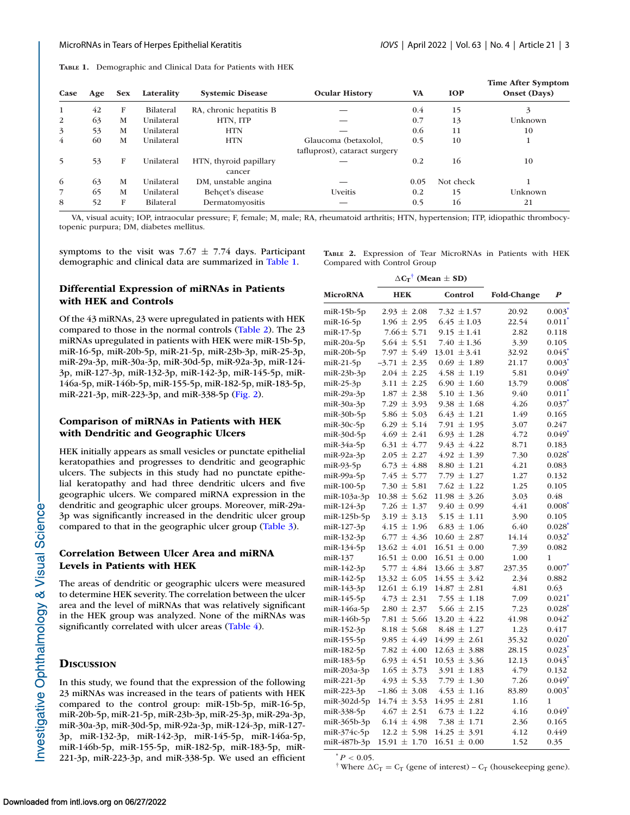<span id="page-2-0"></span>**TABLE 1.** Demographic and Clinical Data for Patients with HEK

| Case           | Age | <b>Sex</b> | Laterality       | <b>Systemic Disease</b>          | <b>Ocular History</b>         | <b>VA</b> | <b>IOP</b> | <b>Time After Symptom</b><br>Onset (Days) |
|----------------|-----|------------|------------------|----------------------------------|-------------------------------|-----------|------------|-------------------------------------------|
| 1              | 42  | F          | <b>Bilateral</b> | RA, chronic hepatitis B          |                               | 0.4       | 15         | 3                                         |
| 2              | 63  | M          | Unilateral       | HTN, ITP                         |                               | 0.7       | 13         | Unknown                                   |
| 3              | 53  | M          | Unilateral       | <b>HTN</b>                       |                               | 0.6       | 11         | 10                                        |
| $\overline{4}$ | 60  | M          | Unilateral       | <b>HTN</b>                       | Glaucoma (betaxolol,          | 0.5       | 10         |                                           |
|                |     |            |                  |                                  | tafluprost), cataract surgery |           |            |                                           |
| 5              | 53  | F          | Unilateral       | HTN, thyroid papillary<br>cancer |                               | 0.2       | 16         | 10                                        |
| 6              | 63  | M          | Unilateral       | DM, unstable angina              |                               | 0.05      | Not check  |                                           |
|                | 65  | M          | Unilateral       | Behcet's disease                 | Uveitis                       | 0.2       | 15         | Unknown                                   |
| 8              | 52  | F          | <b>Bilateral</b> | Dermatomyositis                  |                               | 0.5       | 16         | 21                                        |

VA, visual acuity; IOP, intraocular pressure; F, female; M, male; RA, rheumatoid arthritis; HTN, hypertension; ITP, idiopathic thrombocytopenic purpura; DM, diabetes mellitus.

symptoms to the visit was  $7.67 \pm 7.74$  days. Participant demographic and clinical data are summarized in Table 1.

**TABLE 2.** Expression of Tear MicroRNAs in Patients with HEK Compared with Control Group

## **Differential Expression of miRNAs in Patients with HEK and Controls**

Of the 43 miRNAs, 23 were upregulated in patients with HEK compared to those in the normal controls (Table 2). The 23 miRNAs upregulated in patients with HEK were miR-15b-5p, miR-16-5p, miR-20b-5p, miR-21-5p, miR-23b-3p, miR-25-3p, miR-29a-3p, miR-30a-3p, miR-30d-5p, miR-92a-3p, miR-124- 3p, miR-127-3p, miR-132-3p, miR-142-3p, miR-145-5p, miR-146a-5p, miR-146b-5p, miR-155-5p, miR-182-5p, miR-183-5p, miR-221-3p, miR-223-3p, and miR-338-5p [\(Fig. 2\)](#page-3-0).

## **Comparison of miRNAs in Patients with HEK with Dendritic and Geographic Ulcers**

HEK initially appears as small vesicles or punctate epithelial keratopathies and progresses to dendritic and geographic ulcers. The subjects in this study had no punctate epithelial keratopathy and had three dendritic ulcers and five geographic ulcers. We compared miRNA expression in the dendritic and geographic ulcer groups. Moreover, miR-29a-3p was significantly increased in the dendritic ulcer group compared to that in the geographic ulcer group [\(Table 3\)](#page-4-0).

## **Correlation Between Ulcer Area and miRNA Levels in Patients with HEK**

The areas of dendritic or geographic ulcers were measured to determine HEK severity. The correlation between the ulcer area and the level of miRNAs that was relatively significant in the HEK group was analyzed. None of the miRNAs was significantly correlated with ulcer areas [\(Table 4\)](#page-4-0).

#### **DISCUSSION**

In this study, we found that the expression of the following 23 miRNAs was increased in the tears of patients with HEK compared to the control group: miR-15b-5p, miR-16-5p, miR-20b-5p, miR-21-5p, miR-23b-3p, miR-25-3p, miR-29a-3p, miR-30a-3p, miR-30d-5p, miR-92a-3p, miR-124-3p, miR-127- 3p, miR-132-3p, miR-142-3p, miR-145-5p, miR-146a-5p, miR-146b-5p, miR-155-5p, miR-182-5p, miR-183-5p, miR-221-3p, miR-223-3p, and miR-338-5p. We used an efficient

|                      |                  | $\Delta C_T$ <sup>†</sup> (Mean $\pm$ SD) |                    |                      |
|----------------------|------------------|-------------------------------------------|--------------------|----------------------|
| <b>MicroRNA</b>      | <b>HEK</b>       | Control                                   | <b>Fold-Change</b> | $\boldsymbol{P}$     |
| $m$ iR-15 $b$ -5 $p$ | $2.93 \pm 2.08$  | 7.32 $\pm 1.57$                           | 20.92              | $0.003^*$            |
| $m$ iR-16-5 $p$      | $1.96 \pm 2.95$  | $6.45 \pm 1.03$                           | 22.54              | $0.011$ <sup>*</sup> |
| $m$ iR-17-5 $p$      | $7.66 \pm 5.71$  | $9.15 \pm 1.41$                           | 2.82               | 0.118                |
| $m$ iR-20a-5p        | $5.64 \pm 5.51$  | 7.40 $\pm$ 1.36                           | 3.39               | 0.105                |
| $m$ iR-20b-5p        | $7.97 \pm 5.49$  | $13.01 \pm 3.41$                          | 32.92              | $0.045$ <sup>*</sup> |
| $m$ iR-21-5 $p$      | $-3.71 \pm 2.35$ | $0.69 \pm 1.89$                           | 21.17              | $0.003*$             |
| $m$ iR-23b-3p        | $2.04 \pm 2.25$  | $4.58 \pm 1.19$                           | 5.81               | $0.049$ <sup>*</sup> |
| $m$ iR-25-3 $p$      | $3.11 \pm 2.25$  | $6.90 \pm 1.60$                           | 13.79              | $0.008^*$            |
| $m$ iR-29a-3p        | $1.87 \pm 2.38$  | $5.10 \pm 1.36$                           | 9.40               | $0.011$ <sup>*</sup> |
| $m$ iR-30a-3p        | 7.29 $\pm$ 3.93  | $9.38 \pm 1.68$                           | 4.26               | $0.037$ <sup>*</sup> |
| miR-30b-5p           | 5.86 $\pm$ 5.03  | $6.43 \pm 1.21$                           | 1.49               | 0.165                |
| $m$ iR-30c-5p        | $6.29 \pm 5.14$  | 7.91 $\pm$ 1.95                           | 3.07               | 0.247                |
| miR-30d-5p           | $4.69 \pm 2.41$  | $6.93 \pm 1.28$                           | 4.72               | $0.049*$             |
| $m$ iR-34a-5p        | $6.31 \pm 4.77$  | $9.43 \pm 4.22$                           | 8.71               | 0.183                |
| $miR-92a-3p$         | $2.05 \pm 2.27$  | $4.92 \pm 1.39$                           | 7.30               | $0.028^*$            |
| $m$ iR-93-5 $p$      | $6.73 \pm 4.88$  | $8.80 \pm 1.21$                           | 4.21               | 0.083                |
| $m$ iR-99a-5p        | $7.45 \pm 5.77$  | 7.79 $\pm$ 1.27                           | 1.27               | 0.132                |
| miR-100-5p           | 7.30 $\pm$ 5.81  | $7.62 \pm 1.22$                           | 1.25               | 0.105                |
| miR-103a-3p          | $10.38 \pm 5.62$ | $11.98 \pm 3.26$                          | 3.03               | 0.48                 |
| miR-124-3p           | 7.26 $\pm$ 1.37  | $9.40 \pm 0.99$                           | 4.41               | $0.008*$             |
| miR-125b-5p          | $3.19 \pm 3.13$  | $5.15 \pm 1.11$                           | 3.90               | 0.105                |
| miR-127-3p           | $4.15 \pm 1.96$  | $6.83 \pm 1.06$                           | 6.40               | $0.028^*$            |
| miR-132-3p           | $6.77 \pm 4.36$  | $10.60 \pm 2.87$                          | 14.14              | $0.032^*$            |
| miR-134-5p           | $13.62 \pm 4.01$ | $16.51 \pm 0.00$                          | 7.39               | 0.082                |
| miR-137              | $16.51 \pm 0.00$ | $16.51 \pm 0.00$                          | 1.00               | 1                    |
| miR-142-3p           | $5.77 \pm 4.84$  | $13.66 \pm 3.87$                          | 237.35             | $0.007^*$            |
| miR-142-5p           | $13.32 \pm 6.05$ | $14.55 \pm 3.42$                          | 2.34               | 0.882                |
| miR-143-3p           | $12.61 \pm 6.19$ | $14.87 \pm 2.81$                          | 4.81               | 0.63                 |
| miR-145-5p           | $4.73 \pm 2.31$  | 7.55 $\pm$ 1.18                           | 7.09               | $0.021$ <sup>*</sup> |
| $m$ iR-146a-5p       | $2.80 \pm 2.37$  | $5.66 \pm 2.15$                           | 7.23               | $0.028^{*}$          |
| miR-146b-5p          | 7.81 $\pm$ 5.66  | $13.20 \pm 4.22$                          | 41.98              | $0.042^*$            |
| miR-152-3p           | $8.18 \pm 5.68$  | $8.48 \pm 1.27$                           | 1.23               | 0.417                |
| miR-155-5p           | $9.85 \pm 4.49$  | $14.99 \pm 2.61$                          | 35.32              | $0.020^{*}$          |
| miR-182-5p           | 7.82 $\pm$ 4.00  | $12.63 \pm 3.88$                          | 28.15              | $0.023$ <sup>*</sup> |
| miR-183-5p           | $6.93 \pm 4.51$  | $10.53 \pm 3.36$                          | 12.13              | $0.043$ <sup>*</sup> |
| miR-203a-3p          | $1.65 \pm 3.73$  | $3.91 \pm 1.83$                           | 4.79               | 0.132                |
| $m$ iR-221-3p        | $4.93 \pm 5.33$  | 7.79 $\pm$ 1.30                           | 7.26               | $0.049*$             |
| miR-223-3p           | $-1.86 \pm 3.08$ | $4.53 \pm 1.16$                           | 83.89              | $0.003*$             |
| miR-302d-5p          | $14.74 \pm 3.53$ | $14.95 \pm 2.81$                          | 1.16               | 1                    |
| miR-338-5p           | $4.67 \pm 2.51$  | $6.73 \pm 1.22$                           | 4.16               | $0.049$ <sup>*</sup> |
| $m$ iR-365b-3p       | $6.14 \pm 4.98$  | $7.38 \pm 1.71$                           | 2.36               | 0.165                |
| miR-374c-5p          | $12.2 \pm 5.98$  | $14.25 \pm 3.91$                          | 4.12               | 0.449                |
| miR-487b-3p          | $15.91 \pm 1.70$ | $16.51 \pm 0.00$                          | 1.52               | 0.35                 |

 $P < 0.05$ .

<sup>†</sup> Where  $\Delta C_T = C_T$  (gene of interest) –  $C_T$  (housekeeping gene).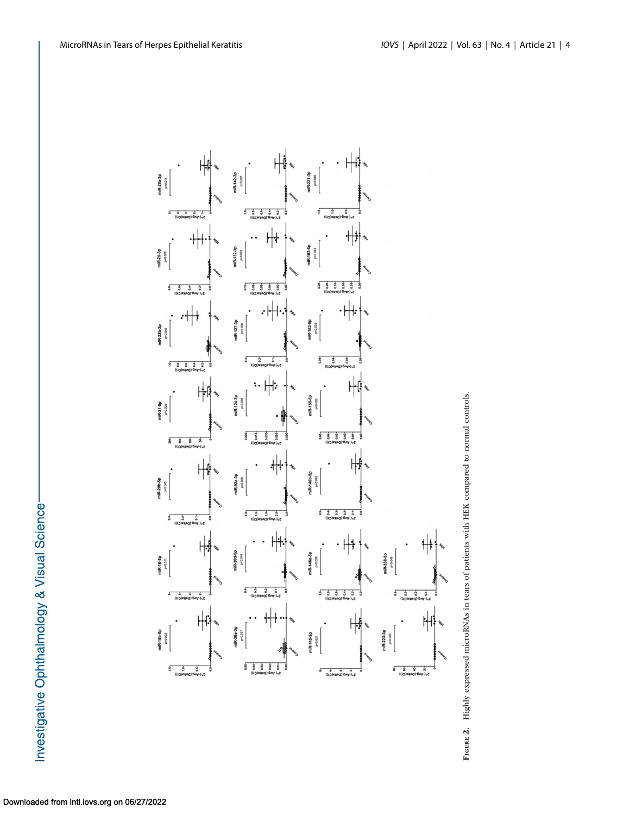<span id="page-3-0"></span>



Investigative Ophthalmology & Visual Science-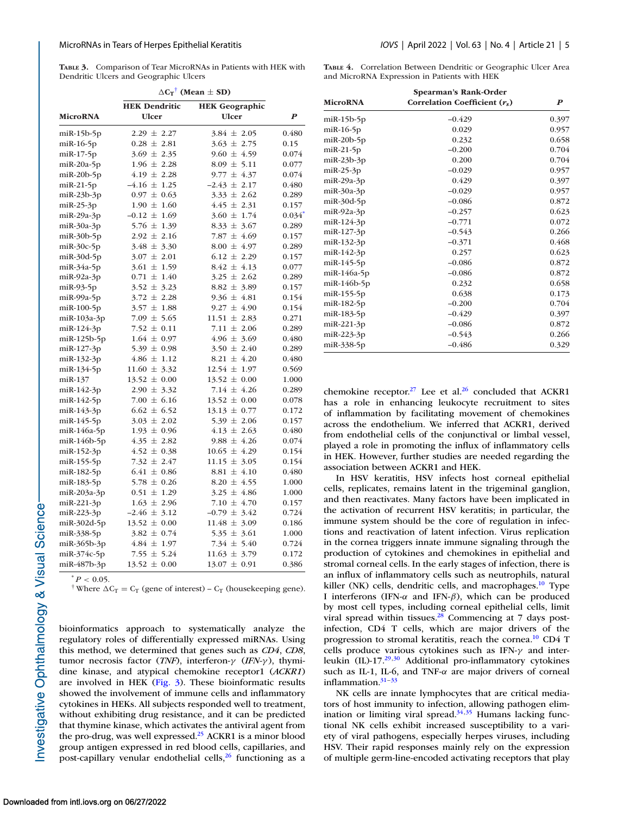<span id="page-4-0"></span>**TABLE 3.** Comparison of Tear MicroRNAs in Patients with HEK with Dendritic Ulcers and Geographic Ulcers

|                      | $\Delta C_T$ <sup>†</sup> (Mean $\pm$ SD) |                                     |                      |  |  |
|----------------------|-------------------------------------------|-------------------------------------|----------------------|--|--|
|                      | <b>HEK Dendritic</b>                      | <b>HEK</b> Geographic               |                      |  |  |
| <b>MicroRNA</b>      | <b>Ulcer</b>                              | <b>Ulcer</b>                        | $\boldsymbol{P}$     |  |  |
|                      |                                           | $3.84 \pm 2.05$                     | 0.480                |  |  |
| $m$ iR-15 $b$ -5 $p$ | $2.29 \pm 2.27$<br>$0.28 \pm 2.81$        |                                     |                      |  |  |
| $m$ iR-16-5 $p$      |                                           | $3.63 \pm 2.75$                     | 0.15                 |  |  |
| $m$ i $R-17-5p$      | $3.69 \pm 2.35$                           | $9.60 \pm 4.59$                     | 0.074                |  |  |
| $m$ iR-20a-5p        | $1.96 \pm 2.28$<br>$4.19 \pm 2.28$        | $8.09 \pm 5.11$<br>$9.77 \pm 4.37$  | 0.077<br>0.074       |  |  |
| $m$ iR-20 $b$ -5 $p$ |                                           |                                     |                      |  |  |
| $m$ iR-21-5 $p$      | $-4.16 \pm 1.25$                          | $-2.43 \pm 2.17$<br>$3.33 \pm 2.62$ | 0.480                |  |  |
| $m$ iR-23b-3p        | $0.97 \pm 0.63$                           |                                     | 0.289                |  |  |
| $m$ iR-25-3p         | $1.90 \pm 1.60$                           | $4.45 \pm 2.31$                     | 0.157                |  |  |
| miR-29a-3p           | $-0.12 \pm 1.69$                          | $3.60 \pm 1.74$                     | $0.034$ <sup>*</sup> |  |  |
| $m$ iR-30a-3p        | $5.76 \pm 1.39$                           | $8.33 \pm 3.67$                     | 0.289                |  |  |
| $m$ iR-30b-5p        | $2.92 \pm 2.16$                           | 7.87 $\pm$ 4.69                     | 0.157                |  |  |
| $miR-30c-5p$         | $3.48 \pm 3.30$                           | $8.00 \pm 4.97$                     | 0.289                |  |  |
| $m$ iR-30d-5p        | $3.07 \pm 2.01$                           | $6.12 \pm 2.29$                     | 0.157                |  |  |
| $m$ iR-34a-5p        | $3.61 \pm 1.59$                           | $8.42 \pm 4.13$                     | 0.077                |  |  |
| $miR-92a-3p$         | $0.71 \pm 1.40$                           | $3.25 \pm 2.62$                     | 0.289                |  |  |
| $m$ iR-93-5 $p$      | $3.52 \pm 3.23$                           | $8.82 \pm 3.89$                     | 0.157                |  |  |
| $m$ iR-99a-5 $p$     | $3.72 \pm 2.28$                           | $9.36 \pm 4.81$                     | 0.154                |  |  |
| $m$ i $R-100-5p$     | $3.57 \pm 1.88$                           | $9.27 \pm 4.90$                     | 0.154                |  |  |
| miR-103a-3p          | $7.09 \pm 5.65$                           | $11.51 \pm 2.83$                    | 0.271                |  |  |
| miR-124-3p           | 7.52 $\pm$ 0.11                           | 7.11 $\pm$ 2.06                     | 0.289                |  |  |
| $m$ iR-125b-5p       | $1.64 \pm 0.97$                           | $4.96 \pm 3.69$                     | 0.480                |  |  |
| miR-127-3p           | $5.39 \pm 0.98$                           | $3.50 \pm 2.40$                     | 0.289                |  |  |
| miR-132-3p           | $4.86 \pm 1.12$                           | $8.21 \pm 4.20$                     | 0.480                |  |  |
| miR-134-5p           | $11.60 \pm 3.32$                          | $12.54 \pm 1.97$                    | 0.569                |  |  |
| miR-137              | $13.52 \pm 0.00$                          | $13.52 \pm 0.00$                    | 1.000                |  |  |
| miR-142-3p           | $2.90 \pm 3.32$                           | $7.14 \pm 4.26$                     | 0.289                |  |  |
| miR-142-5p           | $7.00 \pm 6.16$                           | $13.52 \pm 0.00$                    | 0.078                |  |  |
| miR-143-3p           | $6.62 \pm 6.52$                           | $13.13 \pm 0.77$                    | 0.172                |  |  |
| miR-145-5p           | $3.03 \pm 2.02$                           | $5.39 \pm 2.06$                     | 0.157                |  |  |
| miR-146a-5p          | $1.93 \pm 0.96$                           | $4.13 \pm 2.63$                     | 0.480                |  |  |
| $m$ iR-146b-5p       | $4.35 \pm 2.82$                           | $9.88 \pm 4.26$                     | 0.074                |  |  |
| miR-152-3p           | $4.52 \pm 0.38$                           | $10.65 \pm 4.29$                    | 0.154                |  |  |
| miR-155-5p           | 7.32 $\pm$ 2.47                           | $11.15 \pm 3.05$                    | 0.154                |  |  |
| miR-182-5p           | $6.41 \pm 0.86$                           | $8.81 \pm 4.10$                     | 0.480                |  |  |
| miR-183-5p           | $5.78 \pm 0.26$                           | $8.20 \pm 4.55$                     | 1.000                |  |  |
| $m$ iR-203a-3p       | $0.51 \pm 1.29$                           | $3.25 \pm 4.86$                     | 1.000                |  |  |
| miR-221-3p           | $1.63 \pm 2.96$                           | 7.10 $\pm$ 4.70                     | 0.157                |  |  |
| miR-223-3p           | $-2.46 \pm 3.12$                          | $-0.79 \pm 3.42$                    | 0.724                |  |  |
| miR-302d-5p          | $13.52 \pm 0.00$                          | $11.48 \pm 3.09$                    | 0.186                |  |  |
| miR-338-5p           | $3.82 \pm 0.74$                           | $5.35 \pm 3.61$                     | 1.000                |  |  |
| $m$ iR-365b-3p       | $4.84 \pm 1.97$                           | 7.34 $\pm$ 5.40                     | 0.724                |  |  |
| miR-374c-5p          | 7.55 $\pm$ 5.24                           | $11.63 \pm 3.79$                    | 0.172                |  |  |
| miR-487b-3p          | $13.52 \pm 0.00$                          | $13.07 \pm 0.91$                    | 0.386                |  |  |
|                      |                                           |                                     |                      |  |  |

 $^*P < 0.05$ .

<sup>†</sup> Where  $\Delta C_T = C_T$  (gene of interest) –  $C_T$  (housekeeping gene).

bioinformatics approach to systematically analyze the regulatory roles of differentially expressed miRNAs. Using this method, we determined that genes such as *CD4*, *CD8*, tumor necrosis factor (*TNF*), interferon-γ (*IFN-*γ ), thymidine kinase, and atypical chemokine receptor1 (*ACKR1*) are involved in HEK [\(Fig. 3\)](#page-5-0). These bioinformatic results showed the involvement of immune cells and inflammatory cytokines in HEKs. All subjects responded well to treatment, without exhibiting drug resistance, and it can be predicted that thymine kinase, which activates the antiviral agent from the pro-drug, was well expressed.<sup>25</sup> ACKR1 is a minor blood group antigen expressed in red blood cells, capillaries, and post-capillary venular endothelial cells, $26$  functioning as a **TABLE 4.** Correlation Between Dendritic or Geographic Ulcer Area and MicroRNA Expression in Patients with HEK

|                      | Spearman's Rank-Order           |                  |
|----------------------|---------------------------------|------------------|
| <b>MicroRNA</b>      | Correlation Coefficient $(r_s)$ | $\boldsymbol{P}$ |
| $m$ iR-15b-5 $p$     | $-0.429$                        | 0.397            |
| $m$ iR-16-5 $p$      | 0.029                           | 0.957            |
| $m$ iR-20 $b$ -5 $p$ | 0.232                           | 0.658            |
| $m$ iR-21-5 $p$      | $-0.200$                        | 0.704            |
| $m$ iR-23b-3p        | 0.200                           | 0.704            |
| $m$ iR-25-3 $p$      | $-0.029$                        | 0.957            |
| $m$ iR-29a-3p        | 0.429                           | 0.397            |
| $m$ iR-30a-3p        | $-0.029$                        | 0.957            |
| $miR-30d-5p$         | $-0.086$                        | 0.872            |
| $miR-92a-3p$         | $-0.257$                        | 0.623            |
| miR-124-3p           | $-0.771$                        | 0.072            |
| $m$ iR-127-3p        | $-0.543$                        | 0.266            |
| miR-132-3p           | $-0.371$                        | 0.468            |
| miR-142-3p           | 0.257                           | 0.623            |
| $m$ iR-145-5 $p$     | $-0.086$                        | 0.872            |
| $m$ iR-146a-5p       | $-0.086$                        | 0.872            |
| $m$ iR-146b-5p       | 0.232                           | 0.658            |
| miR-155-5p           | 0.638                           | 0.173            |
| miR-182-5p           | $-0.200$                        | 0.704            |
| miR-183-5p           | $-0.429$                        | 0.397            |
| miR-221-3p           | $-0.086$                        | 0.872            |
| miR-223-3p           | $-0.543$                        | 0.266            |
| miR-338-5p           | $-0.486$                        | 0.329            |

chemokine receptor.<sup>27</sup> Lee et al.<sup>26</sup> concluded that ACKR1 has a role in enhancing leukocyte recruitment to sites of inflammation by facilitating movement of chemokines across the endothelium. We inferred that ACKR1, derived from endothelial cells of the conjunctival or limbal vessel, played a role in promoting the influx of inflammatory cells in HEK. However, further studies are needed regarding the association between ACKR1 and HEK.

In HSV keratitis, HSV infects host corneal epithelial cells, replicates, remains latent in the trigeminal ganglion, and then reactivates. Many factors have been implicated in the activation of recurrent HSV keratitis; in particular, the immune system should be the core of regulation in infections and reactivation of latent infection. Virus replication in the cornea triggers innate immune signaling through the production of cytokines and chemokines in epithelial and stromal corneal cells. In the early stages of infection, there is an influx of inflammatory cells such as neutrophils, natural killer (NK) cells, dendritic cells, and macrophages.<sup>10</sup> Type I interferons (IFN-α and IFN-β), which can be produced by most cell types, including corneal epithelial cells, limit viral spread within tissues. $28$  Commencing at 7 days postinfection, CD4 T cells, which are major drivers of the progression to stromal keratitis, reach the cornea[.10](#page-6-0) CD4 T cells produce various cytokines such as IFN-γ and interleukin (IL)-17[.29,30](#page-6-0) Additional pro-inflammatory cytokines such as IL-1, IL-6, and TNF- $\alpha$  are major drivers of corneal inflammation. $31-33$ 

NK cells are innate lymphocytes that are critical mediators of host immunity to infection, allowing pathogen elimination or limiting viral spread. $34,35$  Humans lacking functional NK cells exhibit increased susceptibility to a variety of viral pathogens, especially herpes viruses, including HSV. Their rapid responses mainly rely on the expression of multiple germ-line-encoded activating receptors that play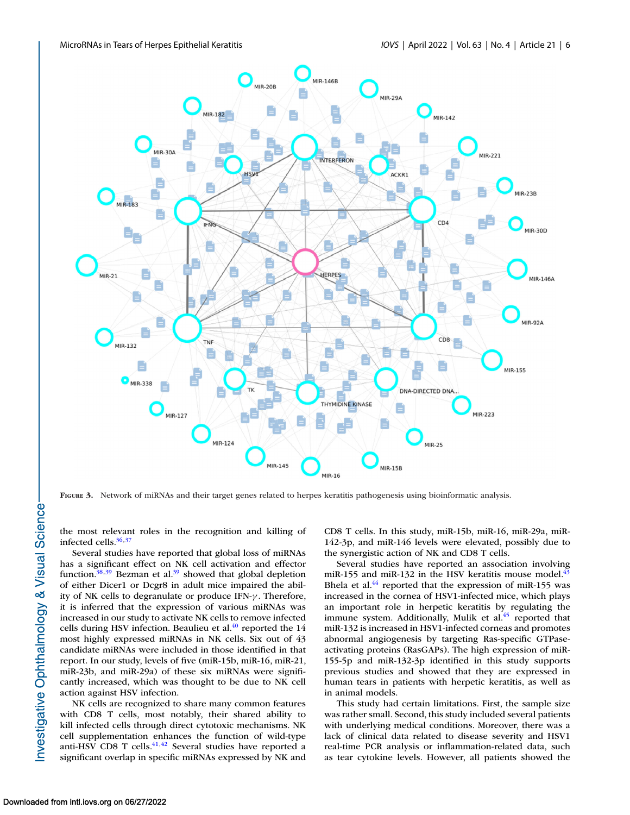<span id="page-5-0"></span>

**FIGURE 3.** Network of miRNAs and their target genes related to herpes keratitis pathogenesis using bioinformatic analysis.

the most relevant roles in the recognition and killing of infected cells. $36,37$ 

Several studies have reported that global loss of miRNAs has a significant effect on NK cell activation and effector function. $38,39$  Bezman et al. $39$  showed that global depletion of either Dicer1 or Dcgr8 in adult mice impaired the ability of NK cells to degranulate or produce IFN-γ . Therefore, it is inferred that the expression of various miRNAs was increased in our study to activate NK cells to remove infected cells during HSV infection. Beaulieu et al.<sup>40</sup> reported the 14 most highly expressed miRNAs in NK cells. Six out of 43 candidate miRNAs were included in those identified in that report. In our study, levels of five (miR-15b, miR-16, miR-21, miR-23b, and miR-29a) of these six miRNAs were significantly increased, which was thought to be due to NK cell action against HSV infection.

NK cells are recognized to share many common features with CD8 T cells, most notably, their shared ability to kill infected cells through direct cytotoxic mechanisms. NK cell supplementation enhances the function of wild-type anti-HSV CD8 T cells. $41,42$  Several studies have reported a significant overlap in specific miRNAs expressed by NK and

CD8 T cells. In this study, miR-15b, miR-16, miR-29a, miR-142-3p, and miR-146 levels were elevated, possibly due to the synergistic action of NK and CD8 T cells.

Several studies have reported an association involving miR-155 and miR-132 in the HSV keratitis mouse model. $43$ Bhela et al.<sup>44</sup> reported that the expression of miR-155 was increased in the cornea of HSV1-infected mice, which plays an important role in herpetic keratitis by regulating the immune system. Additionally, Mulik et al.<sup>45</sup> reported that miR-132 is increased in HSV1-infected corneas and promotes abnormal angiogenesis by targeting Ras-specific GTPaseactivating proteins (RasGAPs). The high expression of miR-155-5p and miR-132-3p identified in this study supports previous studies and showed that they are expressed in human tears in patients with herpetic keratitis, as well as in animal models.

This study had certain limitations. First, the sample size was rather small. Second, this study included several patients with underlying medical conditions. Moreover, there was a lack of clinical data related to disease severity and HSV1 real-time PCR analysis or inflammation-related data, such as tear cytokine levels. However, all patients showed the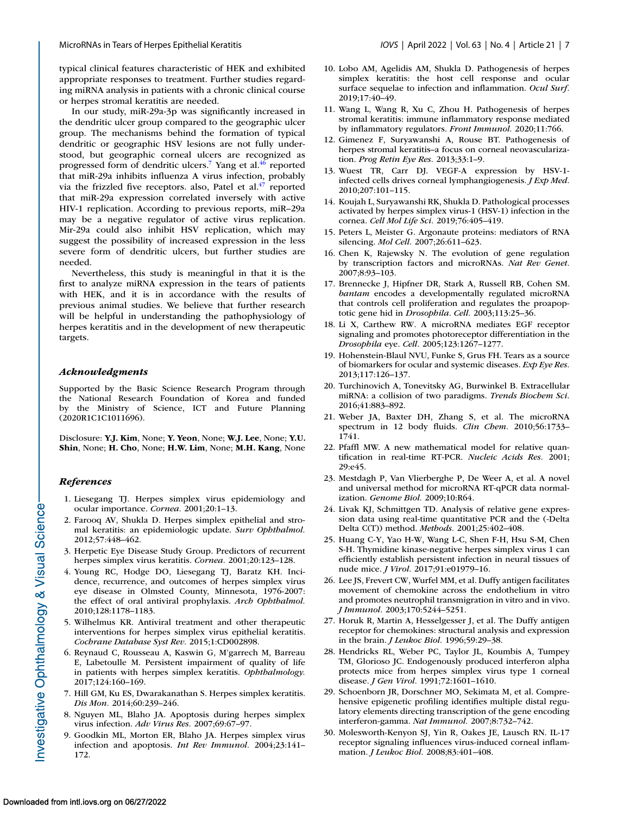<span id="page-6-0"></span>typical clinical features characteristic of HEK and exhibited appropriate responses to treatment. Further studies regarding miRNA analysis in patients with a chronic clinical course or herpes stromal keratitis are needed.

In our study, miR-29a-3p was significantly increased in the dendritic ulcer group compared to the geographic ulcer group. The mechanisms behind the formation of typical dendritic or geographic HSV lesions are not fully understood, but geographic corneal ulcers are recognized as progressed form of dendritic ulcers.<sup>7</sup> Yang et al.<sup>46</sup> reported that miR-29a inhibits influenza A virus infection, probably via the frizzled five receptors. also, Patel et  $al^{47}$  reported that miR-29a expression correlated inversely with active HIV-1 replication. According to previous reports, miR–29a may be a negative regulator of active virus replication. Mir-29a could also inhibit HSV replication, which may suggest the possibility of increased expression in the less severe form of dendritic ulcers, but further studies are needed.

Nevertheless, this study is meaningful in that it is the first to analyze miRNA expression in the tears of patients with HEK, and it is in accordance with the results of previous animal studies. We believe that further research will be helpful in understanding the pathophysiology of herpes keratitis and in the development of new therapeutic targets.

#### *Acknowledgments*

Supported by the Basic Science Research Program through the National Research Foundation of Korea and funded by the Ministry of Science, ICT and Future Planning (2020R1C1C1011696).

Disclosure: **Y.J. Kim**, None; **Y. Yeon**, None; **W.J. Lee**, None; **Y.U. Shin**, None; **H. Cho**, None; **H.W. Lim**, None; **M.H. Kang**, None

#### *References*

- 1. Liesegang TJ. Herpes simplex virus epidemiology and ocular importance. *Cornea.* 2001;20:1–13.
- 2. Farooq AV, Shukla D. Herpes simplex epithelial and stromal keratitis: an epidemiologic update. *Surv Ophthalmol.* 2012;57:448–462.
- 3. Herpetic Eye Disease Study Group. Predictors of recurrent herpes simplex virus keratitis. *Cornea.* 2001;20:123–128.
- 4. Young RC, Hodge DO, Liesegang TJ, Baratz KH. Incidence, recurrence, and outcomes of herpes simplex virus eye disease in Olmsted County, Minnesota, 1976-2007: the effect of oral antiviral prophylaxis. *Arch Ophthalmol.* 2010;128:1178–1183.
- 5. Wilhelmus KR. Antiviral treatment and other therapeutic interventions for herpes simplex virus epithelial keratitis. *Cochrane Database Syst Rev.* 2015;1:CD002898.
- 6. Reynaud C, Rousseau A, Kaswin G, M'garrech M, Barreau E, Labetoulle M. Persistent impairment of quality of life in patients with herpes simplex keratitis. *Ophthalmology.* 2017;124:160–169.
- 7. Hill GM, Ku ES, Dwarakanathan S. Herpes simplex keratitis. *Dis Mon.* 2014;60:239–246.
- 8. Nguyen ML, Blaho JA. Apoptosis during herpes simplex virus infection. *Adv Virus Res.* 2007;69:67–97.
- 9. Goodkin ML, Morton ER, Blaho JA. Herpes simplex virus infection and apoptosis. *Int Rev Immunol.* 2004;23:141– 172.
- 10. Lobo AM, Agelidis AM, Shukla D. Pathogenesis of herpes simplex keratitis: the host cell response and ocular surface sequelae to infection and inflammation. *Ocul Surf.* 2019;17:40–49.
- 11. Wang L, Wang R, Xu C, Zhou H. Pathogenesis of herpes stromal keratitis: immune inflammatory response mediated by inflammatory regulators. *Front Immunol.* 2020;11:766.
- 12. Gimenez F, Suryawanshi A, Rouse BT. Pathogenesis of herpes stromal keratitis–a focus on corneal neovascularization. *Prog Retin Eye Res.* 2013;33:1–9.
- 13. Wuest TR, Carr DJ. VEGF-A expression by HSV-1 infected cells drives corneal lymphangiogenesis. *J Exp Med.* 2010;207:101–115.
- 14. Koujah L, Suryawanshi RK, Shukla D. Pathological processes activated by herpes simplex virus-1 (HSV-1) infection in the cornea. *Cell Mol Life Sci.* 2019;76:405–419.
- 15. Peters L, Meister G. Argonaute proteins: mediators of RNA silencing. *Mol Cell.* 2007;26:611–623.
- 16. Chen K, Rajewsky N. The evolution of gene regulation by transcription factors and microRNAs. *Nat Rev Genet.* 2007;8:93–103.
- 17. Brennecke J, Hipfner DR, Stark A, Russell RB, Cohen SM. *bantam* encodes a developmentally regulated microRNA that controls cell proliferation and regulates the proapoptotic gene hid in *Drosophila*. *Cell.* 2003;113:25–36.
- 18. Li X, Carthew RW. A microRNA mediates EGF receptor signaling and promotes photoreceptor differentiation in the *Drosophila* eye. *Cell.* 2005;123:1267–1277.
- 19. Hohenstein-Blaul NVU, Funke S, Grus FH. Tears as a source of biomarkers for ocular and systemic diseases. *Exp Eye Res.* 2013;117:126–137.
- 20. Turchinovich A, Tonevitsky AG, Burwinkel B. Extracellular miRNA: a collision of two paradigms. *Trends Biochem Sci.* 2016;41:883–892.
- 21. Weber JA, Baxter DH, Zhang S, et al. The microRNA spectrum in 12 body fluids. *Clin Chem.* 2010;56:1733– 1741.
- 22. Pfaffl MW. A new mathematical model for relative quantification in real-time RT-PCR. *Nucleic Acids Res.* 2001; 29:e45.
- 23. Mestdagh P, Van Vlierberghe P, De Weer A, et al. A novel and universal method for microRNA RT-qPCR data normalization. *Genome Biol.* 2009;10:R64.
- 24. Livak KJ, Schmittgen TD. Analysis of relative gene expression data using real-time quantitative PCR and the (-Delta Delta C(T)) method. *Methods.* 2001;25:402–408.
- 25. Huang C-Y, Yao H-W, Wang L-C, Shen F-H, Hsu S-M, Chen S-H. Thymidine kinase-negative herpes simplex virus 1 can efficiently establish persistent infection in neural tissues of nude mice. *J Virol.* 2017;91:e01979–16.
- 26. Lee JS, Frevert CW, Wurfel MM, et al. Duffy antigen facilitates movement of chemokine across the endothelium in vitro and promotes neutrophil transmigration in vitro and in vivo. *J Immunol.* 2003;170:5244–5251.
- 27. Horuk R, Martin A, Hesselgesser J, et al. The Duffy antigen receptor for chemokines: structural analysis and expression in the brain. *J Leukoc Biol.* 1996;59:29–38.
- 28. Hendricks RL, Weber PC, Taylor JL, Koumbis A, Tumpey TM, Glorioso JC. Endogenously produced interferon alpha protects mice from herpes simplex virus type 1 corneal disease. *J Gen Virol.* 1991;72:1601–1610.
- 29. Schoenborn JR, Dorschner MO, Sekimata M, et al. Comprehensive epigenetic profiling identifies multiple distal regulatory elements directing transcription of the gene encoding interferon-gamma. *Nat Immunol.* 2007;8:732–742.
- 30. Molesworth-Kenyon SJ, Yin R, Oakes JE, Lausch RN. IL-17 receptor signaling influences virus-induced corneal inflammation. *J Leukoc Biol.* 2008;83:401–408.